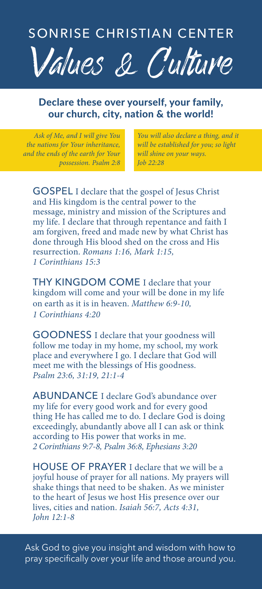

## Declare these over yourself, your family, our church, city, nation & the world!

*Ask of Me, and I will give You the nations for Your inheritance, and the ends of the earth for Your possession. Psalm 2:8*

*You will also declare a thing, and it will be established for you; so light will shine on your ways. Job 22:28* 

GOSPEL I declare that the gospel of Jesus Christ and His kingdom is the central power to the message, ministry and mission of the Scriptures and my life. I declare that through repentance and faith I am forgiven, freed and made new by what Christ has done through His blood shed on the cross and His resurrection. *Romans 1:16, Mark 1:15, 1 Corinthians 15:3*

THY KINGDOM COME I declare that your kingdom will come and your will be done in my life on earth as it is in heaven. *Matthew 6:9-10, 1 Corinthians 4:20*

GOODNESS I declare that your goodness will follow me today in my home, my school, my work place and everywhere I go. I declare that God will meet me with the blessings of His goodness. *Psalm 23:6, 31:19, 21:1-4*

ABUNDANCE I declare God's abundance over my life for every good work and for every good thing He has called me to do. I declare God is doing exceedingly, abundantly above all I can ask or think according to His power that works in me. *2 Corinthians 9:7-8, Psalm 36:8, Ephesians 3:20*

HOUSE OF PRAYER I declare that we will be a joyful house of prayer for all nations. My prayers will shake things that need to be shaken. As we minister to the heart of Jesus we host His presence over our lives, cities and nation. *Isaiah 56:7, Acts 4:31, John 12:1-8*

Ask God to give you insight and wisdom with how to pray specifically over your life and those around you.